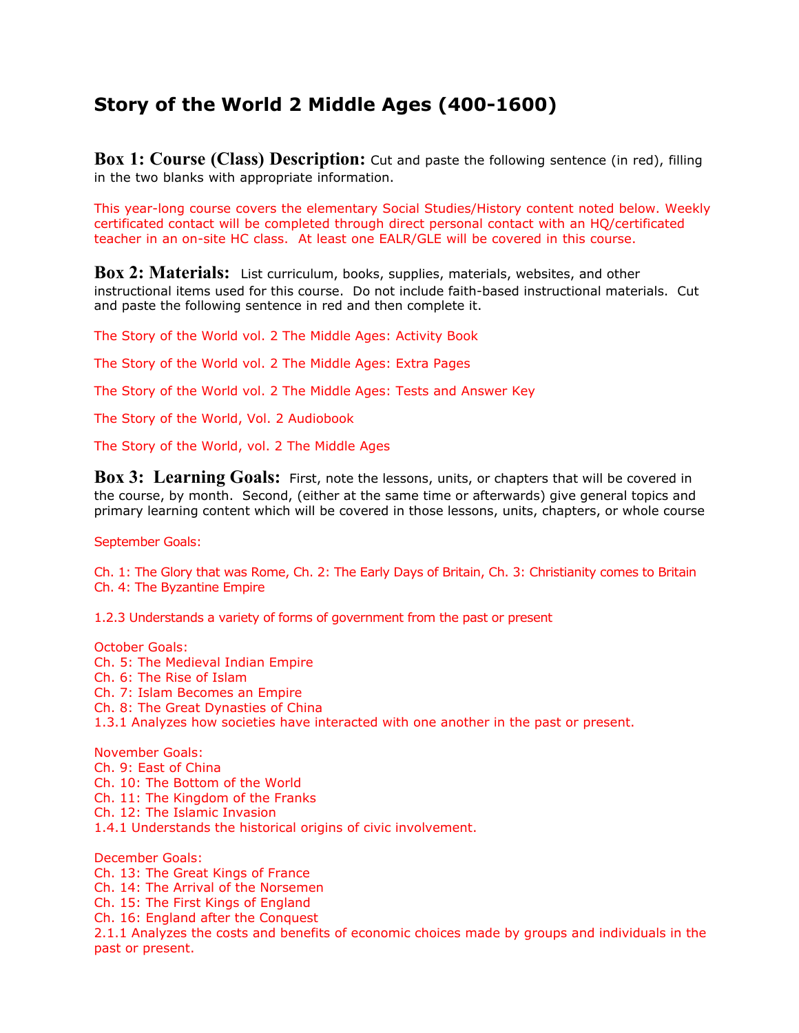## **Story of the World 2 Middle Ages (400-1600)**

**Box 1: Course (Class) Description:** Cut and paste the following sentence (in red), filling in the two blanks with appropriate information.

This year-long course covers the elementary Social Studies/History content noted below. Weekly certificated contact will be completed through direct personal contact with an HQ/certificated teacher in an on-site HC class. At least one EALR/GLE will be covered in this course.

**Box 2: Materials:** List curriculum, books, supplies, materials, websites, and other instructional items used for this course. Do not include faith-based instructional materials. Cut and paste the following sentence in red and then complete it.

The Story of the World vol. 2 The Middle Ages: Activity Book

The Story of the World vol. 2 The Middle Ages: Extra Pages

The Story of the World vol. 2 The Middle Ages: Tests and Answer Key

The Story of the World, Vol. 2 Audiobook

The Story of the World, vol. 2 The Middle Ages

**Box 3: Learning Goals:** First, note the lessons, units, or chapters that will be covered in the course, by month. Second, (either at the same time or afterwards) give general topics and primary learning content which will be covered in those lessons, units, chapters, or whole course

September Goals:

Ch. 1: The Glory that was Rome, Ch. 2: The Early Days of Britain, Ch. 3: Christianity comes to Britain Ch. 4: The Byzantine Empire

1.2.3 Understands a variety of forms of government from the past or present

October Goals: Ch. 5: The Medieval Indian Empire Ch. 6: The Rise of Islam Ch. 7: Islam Becomes an Empire Ch. 8: The Great Dynasties of China 1.3.1 Analyzes how societies have interacted with one another in the past or present. November Goals: Ch. 9: East of China Ch. 10: The Bottom of the World Ch. 11: The Kingdom of the Franks Ch. 12: The Islamic Invasion 1.4.1 Understands the historical origins of civic involvement. December Goals: Ch. 13: The Great Kings of France Ch. 14: The Arrival of the Norsemen Ch. 15: The First Kings of England Ch. 16: England after the Conquest

2.1.1 Analyzes the costs and benefits of economic choices made by groups and individuals in the past or present.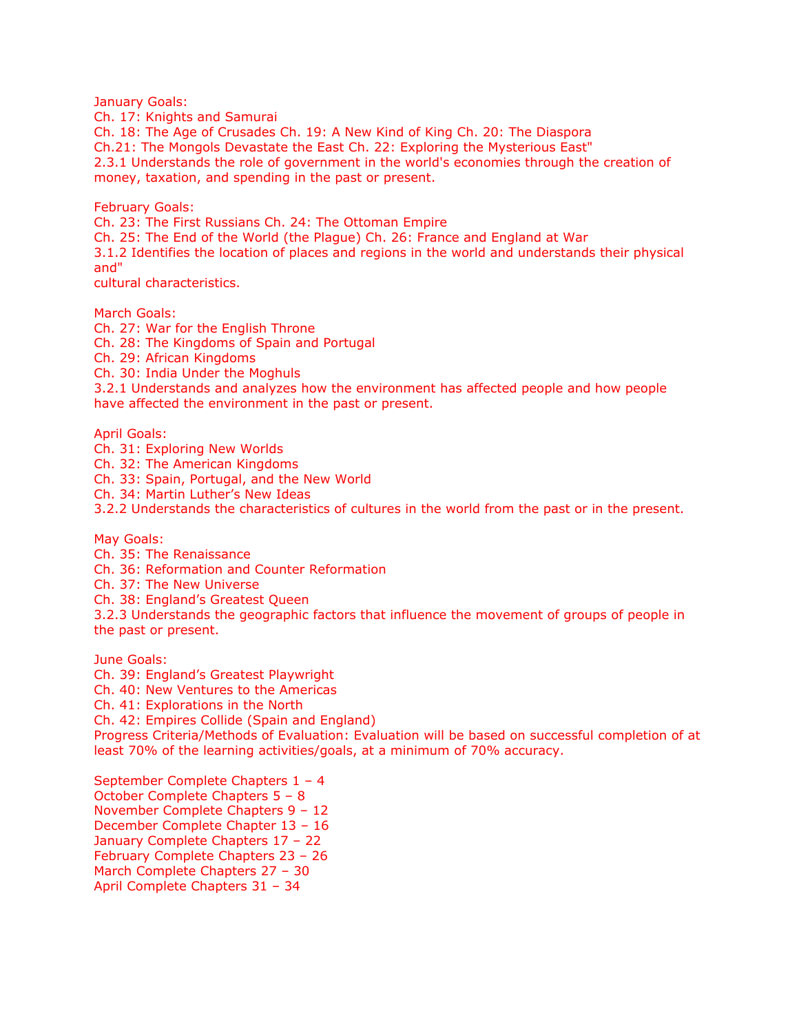January Goals:

Ch. 17: Knights and Samurai Ch. 18: The Age of Crusades Ch. 19: A New Kind of King Ch. 20: The Diaspora Ch.21: The Mongols Devastate the East Ch. 22: Exploring the Mysterious East" 2.3.1 Understands the role of government in the world's economies through the creation of money, taxation, and spending in the past or present.

February Goals:

Ch. 23: The First Russians Ch. 24: The Ottoman Empire

Ch. 25: The End of the World (the Plague) Ch. 26: France and England at War

3.1.2 Identifies the location of places and regions in the world and understands their physical and"

cultural characteristics.

March Goals:

Ch. 27: War for the English Throne Ch. 28: The Kingdoms of Spain and Portugal Ch. 29: African Kingdoms Ch. 30: India Under the Moghuls 3.2.1 Understands and analyzes how the environment has affected people and how people have affected the environment in the past or present.

April Goals:

Ch. 31: Exploring New Worlds Ch. 32: The American Kingdoms Ch. 33: Spain, Portugal, and the New World Ch. 34: Martin Luther's New Ideas 3.2.2 Understands the characteristics of cultures in the world from the past or in the present. May Goals:

Ch. 35: The Renaissance Ch. 36: Reformation and Counter Reformation

Ch. 37: The New Universe

Ch. 38: England's Greatest Queen

3.2.3 Understands the geographic factors that influence the movement of groups of people in the past or present.

June Goals:

Ch. 39: England's Greatest Playwright

Ch. 40: New Ventures to the Americas

Ch. 41: Explorations in the North

Ch. 42: Empires Collide (Spain and England)

Progress Criteria/Methods of Evaluation: Evaluation will be based on successful completion of at least 70% of the learning activities/goals, at a minimum of 70% accuracy.

September Complete Chapters 1 – 4 October Complete Chapters 5 – 8 November Complete Chapters 9 – 12 December Complete Chapter 13 – 16 January Complete Chapters 17 – 22 February Complete Chapters 23 – 26 March Complete Chapters 27 – 30 April Complete Chapters 31 – 34